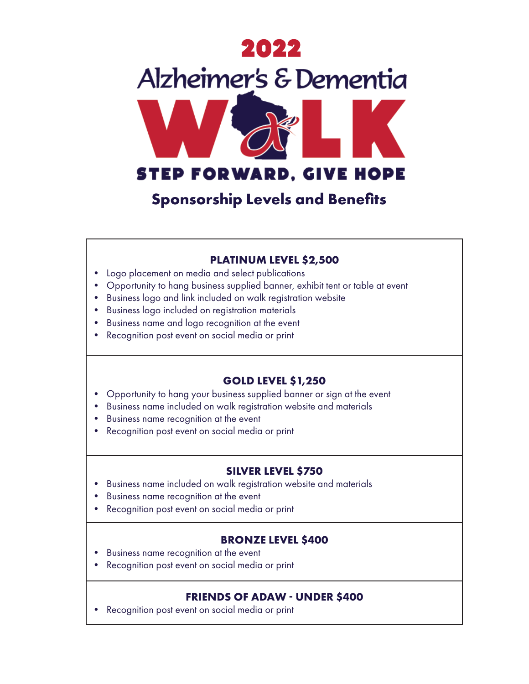

**Sponsorship Levels and Benefits**

### **PLATINUM LEVEL \$2,500**

- Logo placement on media and select publications
- Opportunity to hang business supplied banner, exhibit tent or table at event
- Business logo and link included on walk registration website
- Business logo included on registration materials
- Business name and logo recognition at the event
- Recognition post event on social media or print

## **GOLD LEVEL \$1,250**

- Opportunity to hang your business supplied banner or sign at the event
- Business name included on walk registration website and materials
- Business name recognition at the event
- Recognition post event on social media or print

# **SILVER LEVEL \$750**

- Business name included on walk registration website and materials
- Business name recognition at the event
- Recognition post event on social media or print

## **BRONZE LEVEL \$400**

- Business name recognition at the event
- Recognition post event on social media or print

## **FRIENDS OF ADAW - UNDER \$400**

• Recognition post event on social media or print